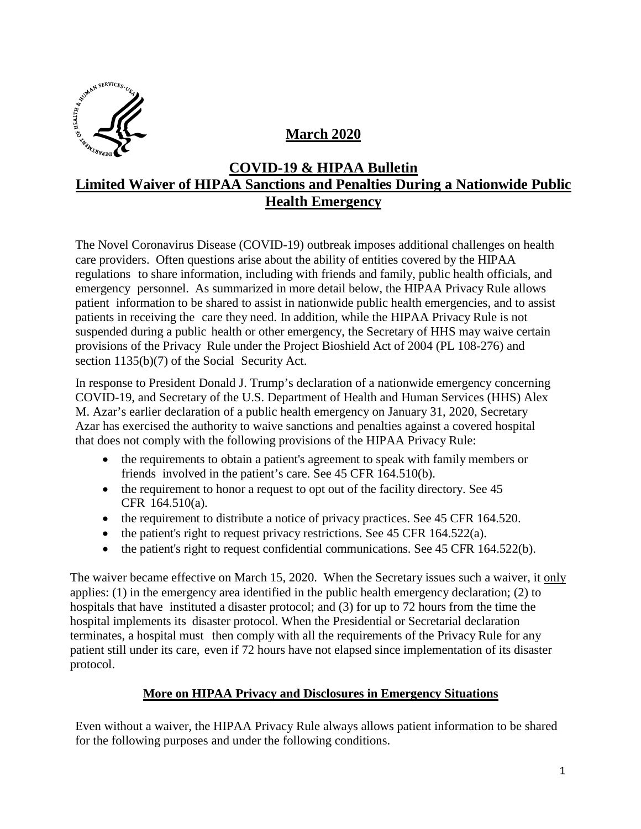

# **March 2020**

## **COVID-19 & HIPAA Bulletin Limited Waiver of HIPAA Sanctions and Penalties During a Nationwide Public Health Emergency**

The Novel Coronavirus Disease (COVID-19) outbreak imposes additional challenges on health care providers. Often questions arise about the ability of entities covered by the HIPAA regulations to share information, including with friends and family, public health officials, and emergency personnel. As summarized in more detail below, the HIPAA Privacy Rule allows patient information to be shared to assist in nationwide public health emergencies, and to assist patients in receiving the care they need. In addition, while the HIPAA Privacy Rule is not suspended during a public health or other emergency, the Secretary of HHS may waive certain provisions of the Privacy Rule under the Project Bioshield Act of 2004 (PL 108-276) and section 1135(b)(7) of the Social Security Act.

In response to President Donald J. Trump's declaration of a nationwide emergency concerning COVID-19, and Secretary of the U.S. Department of Health and Human Services (HHS) Alex M. Azar's earlier declaration of a public health emergency on January 31, 2020, Secretary Azar has exercised the authority to waive sanctions and penalties against a covered hospital that does not comply with the following provisions of the HIPAA Privacy Rule:

- the requirements to obtain a patient's agreement to speak with family members or friends involved in the patient's care. See 45 CFR 164.510(b).
- the requirement to honor a request to opt out of the facility directory. See 45 CFR 164.510(a).
- the requirement to distribute a notice of privacy practices. See 45 CFR 164.520.
- the patient's right to request privacy restrictions. See 45 CFR 164.522(a).
- the patient's right to request confidential communications. See 45 CFR 164.522(b).

The waiver became effective on March 15, 2020. When the Secretary issues such a waiver, it only applies: (1) in the emergency area identified in the public health emergency declaration; (2) to hospitals that have instituted a disaster protocol; and (3) for up to 72 hours from the time the hospital implements its disaster protocol. When the Presidential or Secretarial declaration terminates, a hospital must then comply with all the requirements of the Privacy Rule for any patient still under its care, even if 72 hours have not elapsed since implementation of its disaster protocol.

### **More on HIPAA Privacy and Disclosures in Emergency Situations**

Even without a waiver, the HIPAA Privacy Rule always allows patient information to be shared for the following purposes and under the following conditions.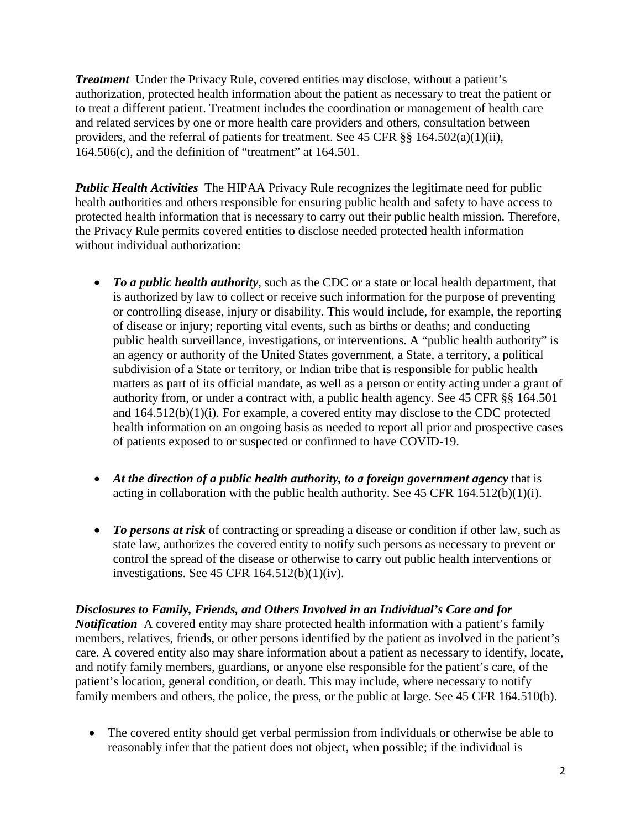*Treatment* Under the Privacy Rule, covered entities may disclose, without a patient's authorization, protected health information about the patient as necessary to treat the patient or to treat a different patient. Treatment includes the coordination or management of health care and related services by one or more health care providers and others, consultation between providers, and the referral of patients for treatment. See 45 CFR §§ 164.502(a)(1)(ii), 164.506(c), and the definition of "treatment" at 164.501.

*Public Health Activities* The HIPAA Privacy Rule recognizes the legitimate need for public health authorities and others responsible for ensuring public health and safety to have access to protected health information that is necessary to carry out their public health mission. Therefore, the Privacy Rule permits covered entities to disclose needed protected health information without individual authorization:

- *To a public health authority*, such as the CDC or a state or local health department, that is authorized by law to collect or receive such information for the purpose of preventing or controlling disease, injury or disability. This would include, for example, the reporting of disease or injury; reporting vital events, such as births or deaths; and conducting public health surveillance, investigations, or interventions. A "public health authority" is an agency or authority of the United States government, a State, a territory, a political subdivision of a State or territory, or Indian tribe that is responsible for public health matters as part of its official mandate, as well as a person or entity acting under a grant of authority from, or under a contract with, a public health agency. See 45 CFR §§ 164.501 and 164.512(b)(1)(i). For example, a covered entity may disclose to the CDC protected health information on an ongoing basis as needed to report all prior and prospective cases of patients exposed to or suspected or confirmed to have COVID-19.
- *At the direction of a public health authority, to a foreign government agency* that is acting in collaboration with the public health authority. See  $45$  CFR  $164.512(b)(1)(i)$ .
- *To persons at risk* of contracting or spreading a disease or condition if other law, such as state law, authorizes the covered entity to notify such persons as necessary to prevent or control the spread of the disease or otherwise to carry out public health interventions or investigations. See 45 CFR 164.512(b)(1)(iv).

#### *Disclosures to Family, Friends, and Others Involved in an Individual's Care and for*

*Notification* A covered entity may share protected health information with a patient's family members, relatives, friends, or other persons identified by the patient as involved in the patient's care. A covered entity also may share information about a patient as necessary to identify, locate, and notify family members, guardians, or anyone else responsible for the patient's care, of the patient's location, general condition, or death. This may include, where necessary to notify family members and others, the police, the press, or the public at large. See 45 CFR 164.510(b).

• The covered entity should get verbal permission from individuals or otherwise be able to reasonably infer that the patient does not object, when possible; if the individual is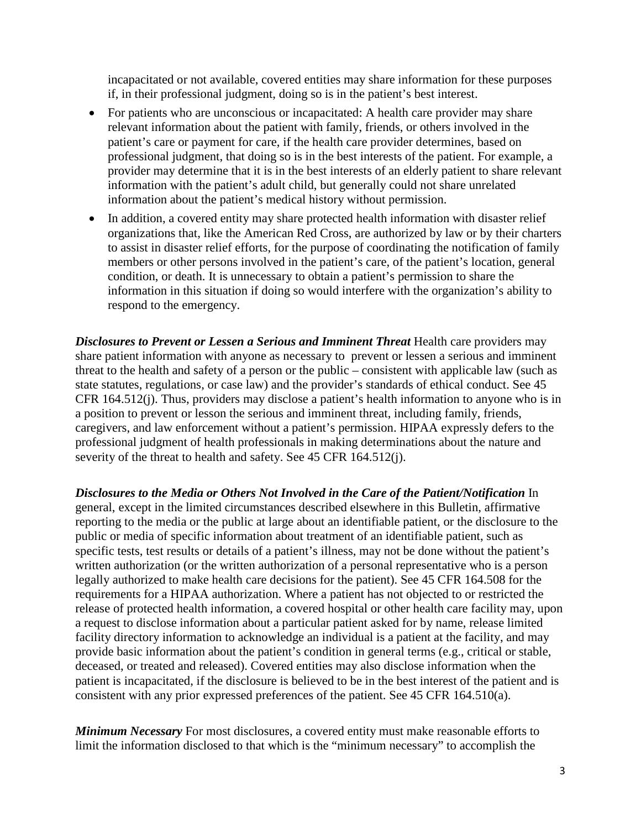incapacitated or not available, covered entities may share information for these purposes if, in their professional judgment, doing so is in the patient's best interest.

- For patients who are unconscious or incapacitated: A health care provider may share relevant information about the patient with family, friends, or others involved in the patient's care or payment for care, if the health care provider determines, based on professional judgment, that doing so is in the best interests of the patient. For example, a provider may determine that it is in the best interests of an elderly patient to share relevant information with the patient's adult child, but generally could not share unrelated information about the patient's medical history without permission.
- In addition, a covered entity may share protected health information with disaster relief organizations that, like the American Red Cross, are authorized by law or by their charters to assist in disaster relief efforts, for the purpose of coordinating the notification of family members or other persons involved in the patient's care, of the patient's location, general condition, or death. It is unnecessary to obtain a patient's permission to share the information in this situation if doing so would interfere with the organization's ability to respond to the emergency.

*Disclosures to Prevent or Lessen a Serious and Imminent Threat Health care providers may* share patient information with anyone as necessary to prevent or lessen a serious and imminent threat to the health and safety of a person or the public – consistent with applicable law (such as state statutes, regulations, or case law) and the provider's standards of ethical conduct. See 45 CFR 164.512(j). Thus, providers may disclose a patient's health information to anyone who is in a position to prevent or lesson the serious and imminent threat, including family, friends, caregivers, and law enforcement without a patient's permission. HIPAA expressly defers to the professional judgment of health professionals in making determinations about the nature and severity of the threat to health and safety. See 45 CFR 164.512(j).

*Disclosures to the Media or Others Not Involved in the Care of the Patient/Notification* In general, except in the limited circumstances described elsewhere in this Bulletin, affirmative reporting to the media or the public at large about an identifiable patient, or the disclosure to the public or media of specific information about treatment of an identifiable patient, such as specific tests, test results or details of a patient's illness, may not be done without the patient's written authorization (or the written authorization of a personal representative who is a person legally authorized to make health care decisions for the patient). See 45 CFR 164.508 for the requirements for a HIPAA authorization. Where a patient has not objected to or restricted the release of protected health information, a covered hospital or other health care facility may, upon a request to disclose information about a particular patient asked for by name, release limited facility directory information to acknowledge an individual is a patient at the facility, and may provide basic information about the patient's condition in general terms (e.g., critical or stable, deceased, or treated and released). Covered entities may also disclose information when the patient is incapacitated, if the disclosure is believed to be in the best interest of the patient and is consistent with any prior expressed preferences of the patient. See 45 CFR 164.510(a).

*Minimum Necessary* For most disclosures, a covered entity must make reasonable efforts to limit the information disclosed to that which is the "minimum necessary" to accomplish the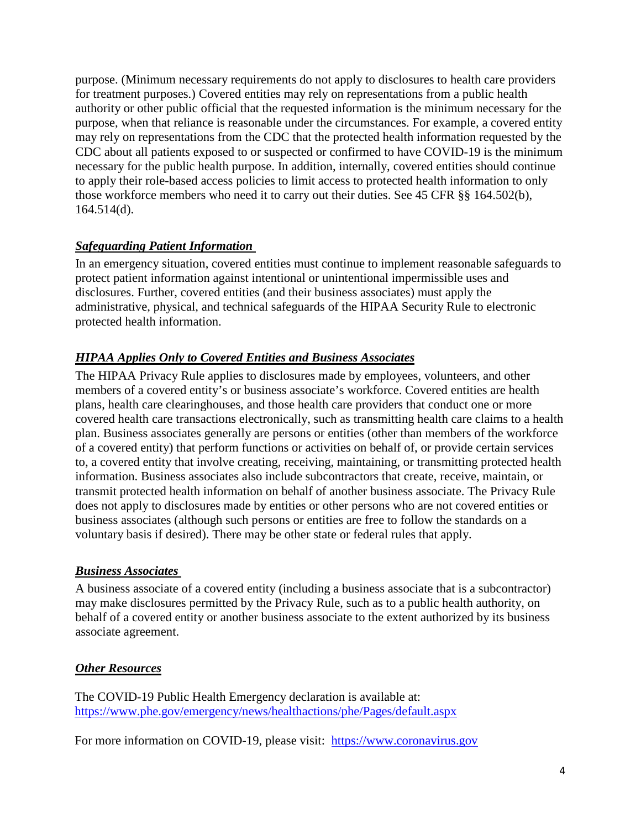purpose. (Minimum necessary requirements do not apply to disclosures to health care providers for treatment purposes.) Covered entities may rely on representations from a public health authority or other public official that the requested information is the minimum necessary for the purpose, when that reliance is reasonable under the circumstances. For example, a covered entity may rely on representations from the CDC that the protected health information requested by the CDC about all patients exposed to or suspected or confirmed to have COVID-19 is the minimum necessary for the public health purpose. In addition, internally, covered entities should continue to apply their role-based access policies to limit access to protected health information to only those workforce members who need it to carry out their duties. See 45 CFR §§ 164.502(b), 164.514(d).

#### *Safeguarding Patient Information*

In an emergency situation, covered entities must continue to implement reasonable safeguards to protect patient information against intentional or unintentional impermissible uses and disclosures. Further, covered entities (and their business associates) must apply the administrative, physical, and technical safeguards of the HIPAA Security Rule to electronic protected health information.

#### *HIPAA Applies Only to Covered Entities and Business Associates*

The HIPAA Privacy Rule applies to disclosures made by employees, volunteers, and other members of a covered entity's or business associate's workforce. Covered entities are health plans, health care clearinghouses, and those health care providers that conduct one or more covered health care transactions electronically, such as transmitting health care claims to a health plan. Business associates generally are persons or entities (other than members of the workforce of a covered entity) that perform functions or activities on behalf of, or provide certain services to, a covered entity that involve creating, receiving, maintaining, or transmitting protected health information. Business associates also include subcontractors that create, receive, maintain, or transmit protected health information on behalf of another business associate. The Privacy Rule does not apply to disclosures made by entities or other persons who are not covered entities or business associates (although such persons or entities are free to follow the standards on a voluntary basis if desired). There may be other state or federal rules that apply.

#### *Business Associates*

A business associate of a covered entity (including a business associate that is a subcontractor) may make disclosures permitted by the Privacy Rule, such as to a public health authority, on behalf of a covered entity or another business associate to the extent authorized by its business associate agreement.

#### *Other Resources*

The COVID-19 Public Health Emergency declaration is available at: <https://www.phe.gov/emergency/news/healthactions/phe/Pages/default.aspx>

For more information on COVID-19, please visit: [https://www.coronavirus.gov](https://www.coronavirus.gov/)